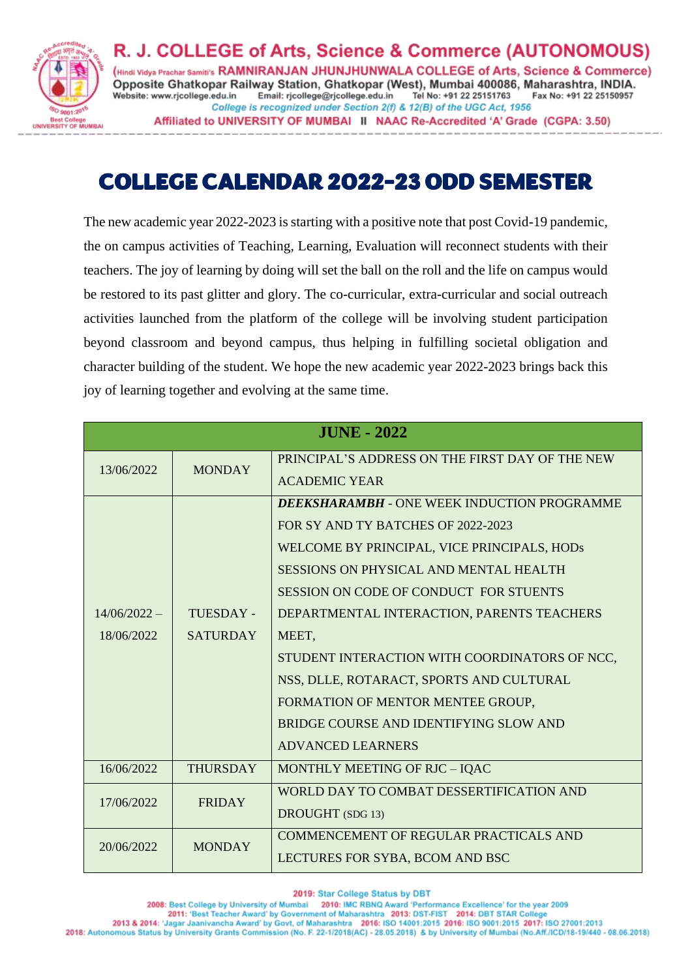

R. J. COLLEGE of Arts, Science & Commerce (AUTONOMOUS) (Hindi Vidya Prachar Samiti's RAMNIRANJAN JHUNJHUNWALA COLLEGE of Arts, Science & Commerce) Opposite Ghatkopar Railway Station, Ghatkopar (West), Mumbai 400086, Maharashtra, INDIA. Website: www.rjcollege.edu.in Email: rjcollege@rjcollege.edu.in Tel No: +91 22 25151763 Fax No: +91 22 25150957 College is recognized under Section 2(f) & 12(B) of the UGC Act, 1956 Affiliated to UNIVERSITY OF MUMBAI II NAAC Re-Accredited 'A' Grade (CGPA: 3.50)

# COLLEGE CALENDAR 2022-23 ODD SEMESTER

The new academic year 2022-2023 is starting with a positive note that post Covid-19 pandemic, the on campus activities of Teaching, Learning, Evaluation will reconnect students with their teachers. The joy of learning by doing will set the ball on the roll and the life on campus would be restored to its past glitter and glory. The co-curricular, extra-curricular and social outreach activities launched from the platform of the college will be involving student participation beyond classroom and beyond campus, thus helping in fulfilling societal obligation and character building of the student. We hope the new academic year 2022-2023 brings back this joy of learning together and evolving at the same time.

| <b>JUNE - 2022</b> |                 |                                                    |
|--------------------|-----------------|----------------------------------------------------|
| 13/06/2022         | <b>MONDAY</b>   | PRINCIPAL'S ADDRESS ON THE FIRST DAY OF THE NEW    |
|                    |                 | <b>ACADEMIC YEAR</b>                               |
|                    |                 | <b>DEEKSHARAMBH - ONE WEEK INDUCTION PROGRAMME</b> |
|                    |                 | FOR SY AND TY BATCHES OF 2022-2023                 |
|                    |                 | WELCOME BY PRINCIPAL, VICE PRINCIPALS, HODs        |
|                    |                 | SESSIONS ON PHYSICAL AND MENTAL HEALTH             |
|                    |                 | SESSION ON CODE OF CONDUCT FOR STUENTS             |
| $14/06/2022 -$     | TUESDAY -       | DEPARTMENTAL INTERACTION, PARENTS TEACHERS         |
| 18/06/2022         | <b>SATURDAY</b> | MEET,                                              |
|                    |                 | STUDENT INTERACTION WITH COORDINATORS OF NCC,      |
|                    |                 | NSS, DLLE, ROTARACT, SPORTS AND CULTURAL           |
|                    |                 | FORMATION OF MENTOR MENTEE GROUP,                  |
|                    |                 | BRIDGE COURSE AND IDENTIFYING SLOW AND             |
|                    |                 | <b>ADVANCED LEARNERS</b>                           |
| 16/06/2022         | <b>THURSDAY</b> | MONTHLY MEETING OF RJC - IQAC                      |
| 17/06/2022         | <b>FRIDAY</b>   | WORLD DAY TO COMBAT DESSERTIFICATION AND           |
|                    |                 | DROUGHT (SDG 13)                                   |
| 20/06/2022         | <b>MONDAY</b>   | COMMENCEMENT OF REGULAR PRACTICALS AND             |
|                    |                 | LECTURES FOR SYBA, BCOM AND BSC                    |

2019: Star College Status by DBT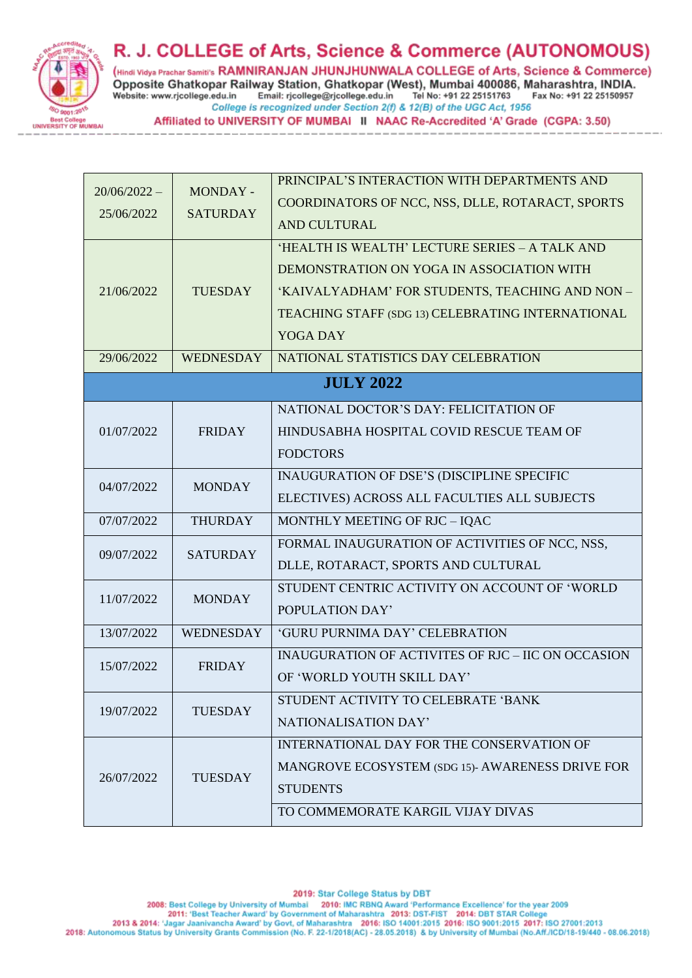

(Hindi Vidya Prachar Samiti's RAMNIRANJAN JHUNJHUNWALA COLLEGE of Arts, Science & Commerce) Opposite Ghatkopar Railway Station, Ghatkopar (West), Mumbai 400086, Maharashtra, INDIA. Email: rjcollege@rjcollege.edu.in Tel No: +91 22 25151763 Website: www.rjcollege.edu.in Fax No: +91 22 25150957 College is recognized under Section 2(f) & 12(B) of the UGC Act, 1956

Affiliated to UNIVERSITY OF MUMBAI II NAAC Re-Accredited 'A' Grade (CGPA: 3.50)

|                |                  | PRINCIPAL'S INTERACTION WITH DEPARTMENTS AND       |
|----------------|------------------|----------------------------------------------------|
| $20/06/2022 -$ | MONDAY -         |                                                    |
| 25/06/2022     | <b>SATURDAY</b>  | COORDINATORS OF NCC, NSS, DLLE, ROTARACT, SPORTS   |
|                |                  | <b>AND CULTURAL</b>                                |
|                | <b>TUESDAY</b>   | 'HEALTH IS WEALTH' LECTURE SERIES - A TALK AND     |
|                |                  | DEMONSTRATION ON YOGA IN ASSOCIATION WITH          |
| 21/06/2022     |                  | 'KAIVALYADHAM' FOR STUDENTS, TEACHING AND NON-     |
|                |                  | TEACHING STAFF (SDG 13) CELEBRATING INTERNATIONAL  |
|                |                  | YOGA DAY                                           |
| 29/06/2022     | <b>WEDNESDAY</b> | NATIONAL STATISTICS DAY CELEBRATION                |
|                |                  | <b>JULY 2022</b>                                   |
|                |                  |                                                    |
|                |                  | NATIONAL DOCTOR'S DAY: FELICITATION OF             |
| 01/07/2022     | <b>FRIDAY</b>    | HINDUSABHA HOSPITAL COVID RESCUE TEAM OF           |
|                |                  | <b>FODCTORS</b>                                    |
| 04/07/2022     |                  | INAUGURATION OF DSE'S (DISCIPLINE SPECIFIC         |
|                | <b>MONDAY</b>    | ELECTIVES) ACROSS ALL FACULTIES ALL SUBJECTS       |
| 07/07/2022     | <b>THURDAY</b>   | MONTHLY MEETING OF RJC - IQAC                      |
|                | <b>SATURDAY</b>  | FORMAL INAUGURATION OF ACTIVITIES OF NCC, NSS,     |
| 09/07/2022     |                  | DLLE, ROTARACT, SPORTS AND CULTURAL                |
|                | <b>MONDAY</b>    | STUDENT CENTRIC ACTIVITY ON ACCOUNT OF 'WORLD      |
| 11/07/2022     |                  | POPULATION DAY'                                    |
| 13/07/2022     | <b>WEDNESDAY</b> | 'GURU PURNIMA DAY' CELEBRATION                     |
|                | <b>FRIDAY</b>    | INAUGURATION OF ACTIVITES OF RJC - IIC ON OCCASION |
| 15/07/2022     |                  | OF 'WORLD YOUTH SKILL DAY'                         |
|                | <b>TUESDAY</b>   | STUDENT ACTIVITY TO CELEBRATE 'BANK                |
| 19/07/2022     |                  | NATIONALISATION DAY'                               |
| 26/07/2022     | <b>TUESDAY</b>   | INTERNATIONAL DAY FOR THE CONSERVATION OF          |
|                |                  | MANGROVE ECOSYSTEM (SDG 15)- AWARENESS DRIVE FOR   |
|                |                  | <b>STUDENTS</b>                                    |
|                |                  | TO COMMEMORATE KARGIL VIJAY DIVAS                  |
|                |                  |                                                    |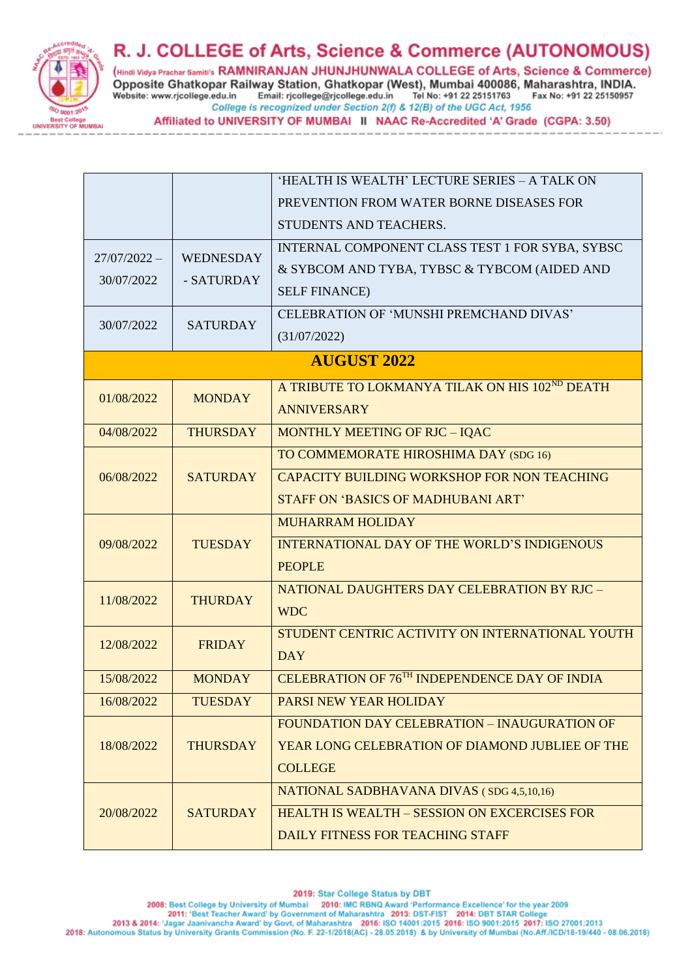

(Hindi Vidya Prachar Samiti's RAMNIRANJAN JHUNJHUNWALA COLLEGE of Arts, Science & Commerce) Opposite Ghatkopar Railway Station, Ghatkopar (West), Mumbai 400086, Maharashtra, INDIA. Email: rjcollege@rjcollege.edu.in Tel No: +91 22 25151763 Website: www.rjcollege.edu.in Fax No: +91 22 25150957 College is recognized under Section 2(f) & 12(B) of the UGC Act, 1956

Affiliated to UNIVERSITY OF MUMBAI II NAAC Re-Accredited 'A' Grade (CGPA: 3.50)

| $27/07/2022 -$     | WEDNESDAY       | 'HEALTH IS WEALTH' LECTURE SERIES - A TALK ON<br>PREVENTION FROM WATER BORNE DISEASES FOR<br>STUDENTS AND TEACHERS.<br>INTERNAL COMPONENT CLASS TEST 1 FOR SYBA, SYBSC<br>& SYBCOM AND TYBA, TYBSC & TYBCOM (AIDED AND |  |
|--------------------|-----------------|------------------------------------------------------------------------------------------------------------------------------------------------------------------------------------------------------------------------|--|
| 30/07/2022         | - SATURDAY      | <b>SELF FINANCE)</b>                                                                                                                                                                                                   |  |
| 30/07/2022         | <b>SATURDAY</b> | CELEBRATION OF 'MUNSHI PREMCHAND DIVAS'<br>(31/07/2022)                                                                                                                                                                |  |
| <b>AUGUST 2022</b> |                 |                                                                                                                                                                                                                        |  |
| 01/08/2022         | <b>MONDAY</b>   | A TRIBUTE TO LOKMANYA TILAK ON HIS 102ND DEATH<br><b>ANNIVERSARY</b>                                                                                                                                                   |  |
| 04/08/2022         | <b>THURSDAY</b> | MONTHLY MEETING OF RJC - IQAC                                                                                                                                                                                          |  |
| 06/08/2022         | <b>SATURDAY</b> | TO COMMEMORATE HIROSHIMA DAY (SDG 16)<br>CAPACITY BUILDING WORKSHOP FOR NON TEACHING<br><b>STAFF ON 'BASICS OF MADHUBANI ART'</b>                                                                                      |  |
| 09/08/2022         | <b>TUESDAY</b>  | <b>MUHARRAM HOLIDAY</b><br><b>INTERNATIONAL DAY OF THE WORLD'S INDIGENOUS</b><br><b>PEOPLE</b>                                                                                                                         |  |
| 11/08/2022         | <b>THURDAY</b>  | NATIONAL DAUGHTERS DAY CELEBRATION BY RJC -<br><b>WDC</b>                                                                                                                                                              |  |
| 12/08/2022         | <b>FRIDAY</b>   | STUDENT CENTRIC ACTIVITY ON INTERNATIONAL YOUTH<br><b>DAY</b>                                                                                                                                                          |  |
| 15/08/2022         | <b>MONDAY</b>   | CELEBRATION OF 76TH INDEPENDENCE DAY OF INDIA                                                                                                                                                                          |  |
| 16/08/2022         | <b>TUESDAY</b>  | PARSI NEW YEAR HOLIDAY                                                                                                                                                                                                 |  |
| 18/08/2022         | <b>THURSDAY</b> | FOUNDATION DAY CELEBRATION - INAUGURATION OF<br>YEAR LONG CELEBRATION OF DIAMOND JUBLIEE OF THE<br><b>COLLEGE</b>                                                                                                      |  |
| 20/08/2022         | <b>SATURDAY</b> | <b>NATIONAL SADBHAVANA DIVAS (SDG 4,5,10,16)</b><br>HEALTH IS WEALTH - SESSION ON EXCERCISES FOR<br>DAILY FITNESS FOR TEACHING STAFF                                                                                   |  |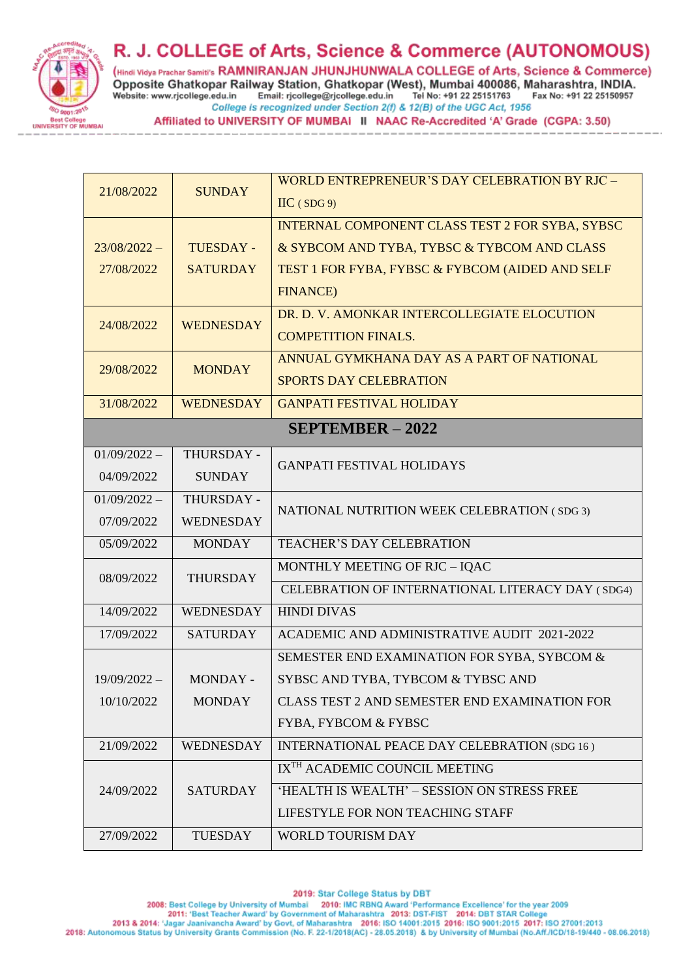

(Hindi Vidya Prachar Samiti's RAMNIRANJAN JHUNJHUNWALA COLLEGE of Arts, Science & Commerce) Opposite Ghatkopar Railway Station, Ghatkopar (West), Mumbai 400086, Maharashtra, INDIA. Tel No: +91 22 25151763 Website: www.rjcollege.edu.in Email: rjcollege@rjcollege.edu.in Fax No: +91 22 25150957 College is recognized under Section 2(f) & 12(B) of the UGC Act, 1956

Affiliated to UNIVERSITY OF MUMBAI II NAAC Re-Accredited 'A' Grade (CGPA: 3.50)

|                    |                  | WORLD ENTREPRENEUR'S DAY CELEBRATION BY RJC -      |  |
|--------------------|------------------|----------------------------------------------------|--|
| 21/08/2022         | <b>SUNDAY</b>    | $\text{HC}$ (SDG 9)                                |  |
|                    |                  | INTERNAL COMPONENT CLASS TEST 2 FOR SYBA, SYBSC    |  |
| $23/08/2022 -$     | <b>TUESDAY -</b> | & SYBCOM AND TYBA, TYBSC & TYBCOM AND CLASS        |  |
| 27/08/2022         | <b>SATURDAY</b>  | TEST 1 FOR FYBA, FYBSC & FYBCOM (AIDED AND SELF    |  |
|                    |                  | <b>FINANCE)</b>                                    |  |
| 24/08/2022         | <b>WEDNESDAY</b> | DR. D. V. AMONKAR INTERCOLLEGIATE ELOCUTION        |  |
|                    |                  | <b>COMPETITION FINALS.</b>                         |  |
| 29/08/2022         | <b>MONDAY</b>    | ANNUAL GYMKHANA DAY AS A PART OF NATIONAL          |  |
|                    |                  | <b>SPORTS DAY CELEBRATION</b>                      |  |
| 31/08/2022         | <b>WEDNESDAY</b> | <b>GANPATI FESTIVAL HOLIDAY</b>                    |  |
| $SEPTEMBER - 2022$ |                  |                                                    |  |
| $01/09/2022 -$     | THURSDAY -       | <b>GANPATI FESTIVAL HOLIDAYS</b>                   |  |
| 04/09/2022         | <b>SUNDAY</b>    |                                                    |  |
| $01/09/2022 -$     | THURSDAY -       | NATIONAL NUTRITION WEEK CELEBRATION (SDG 3)        |  |
| 07/09/2022         | WEDNESDAY        |                                                    |  |
| 05/09/2022         | <b>MONDAY</b>    | <b>TEACHER'S DAY CELEBRATION</b>                   |  |
| 08/09/2022         | <b>THURSDAY</b>  | MONTHLY MEETING OF RJC - IQAC                      |  |
|                    |                  | CELEBRATION OF INTERNATIONAL LITERACY DAY (SDG4)   |  |
| 14/09/2022         | <b>WEDNESDAY</b> | <b>HINDI DIVAS</b>                                 |  |
| 17/09/2022         | <b>SATURDAY</b>  | <b>ACADEMIC AND ADMINISTRATIVE AUDIT 2021-2022</b> |  |
|                    |                  | SEMESTER END EXAMINATION FOR SYBA, SYBCOM &        |  |
| $19/09/2022 -$     | MONDAY -         | SYBSC AND TYBA, TYBCOM & TYBSC AND                 |  |
| 10/10/2022         | <b>MONDAY</b>    | CLASS TEST 2 AND SEMESTER END EXAMINATION FOR      |  |
|                    |                  | <b>FYBA, FYBCOM &amp; FYBSC</b>                    |  |
| 21/09/2022         | WEDNESDAY        | INTERNATIONAL PEACE DAY CELEBRATION (SDG 16)       |  |
|                    |                  | IX <sup>TH</sup> ACADEMIC COUNCIL MEETING          |  |
| 24/09/2022         | <b>SATURDAY</b>  | 'HEALTH IS WEALTH' - SESSION ON STRESS FREE        |  |
|                    |                  | LIFESTYLE FOR NON TEACHING STAFF                   |  |
| 27/09/2022         | <b>TUESDAY</b>   | WORLD TOURISM DAY                                  |  |

2019: Star College Status by DBT